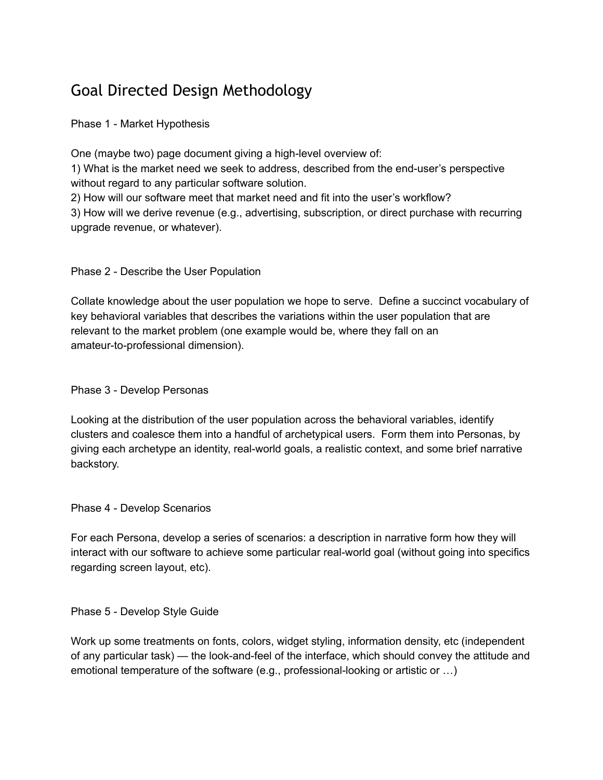## Goal Directed Design Methodology

Phase 1 - Market Hypothesis

One (maybe two) page document giving a high-level overview of:

1) What is the market need we seek to address, described from the end-user's perspective without regard to any particular software solution.

2) How will our software meet that market need and fit into the user's workflow?

3) How will we derive revenue (e.g., advertising, subscription, or direct purchase with recurring upgrade revenue, or whatever).

Phase 2 - Describe the User Population

Collate knowledge about the user population we hope to serve. Define a succinct vocabulary of key behavioral variables that describes the variations within the user population that are relevant to the market problem (one example would be, where they fall on an amateur-to-professional dimension).

## Phase 3 - Develop Personas

Looking at the distribution of the user population across the behavioral variables, identify clusters and coalesce them into a handful of archetypical users. Form them into Personas, by giving each archetype an identity, real-world goals, a realistic context, and some brief narrative backstory.

Phase 4 - Develop Scenarios

For each Persona, develop a series of scenarios: a description in narrative form how they will interact with our software to achieve some particular real-world goal (without going into specifics regarding screen layout, etc).

Phase 5 - Develop Style Guide

Work up some treatments on fonts, colors, widget styling, information density, etc (independent of any particular task) — the look-and-feel of the interface, which should convey the attitude and emotional temperature of the software (e.g., professional-looking or artistic or …)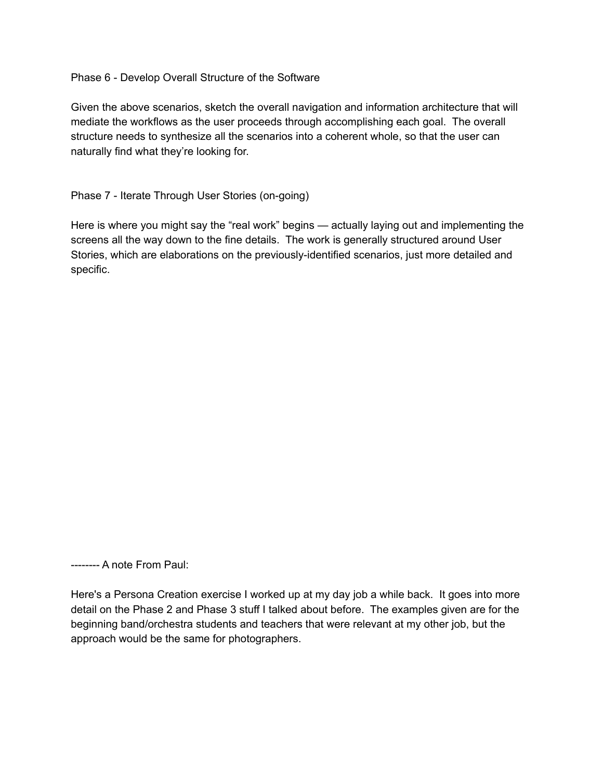Phase 6 - Develop Overall Structure of the Software

Given the above scenarios, sketch the overall navigation and information architecture that will mediate the workflows as the user proceeds through accomplishing each goal. The overall structure needs to synthesize all the scenarios into a coherent whole, so that the user can naturally find what they're looking for.

Phase 7 - Iterate Through User Stories (on-going)

Here is where you might say the "real work" begins — actually laying out and implementing the screens all the way down to the fine details. The work is generally structured around User Stories, which are elaborations on the previously-identified scenarios, just more detailed and specific.

-------- A note From Paul:

Here's a Persona Creation exercise I worked up at my day job a while back. It goes into more detail on the Phase 2 and Phase 3 stuff I talked about before. The examples given are for the beginning band/orchestra students and teachers that were relevant at my other job, but the approach would be the same for photographers.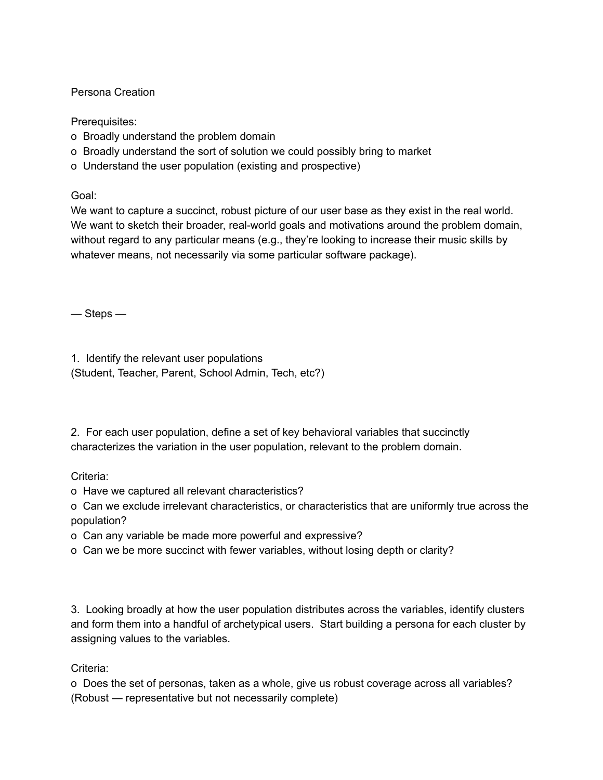## Persona Creation

Prerequisites:

- o Broadly understand the problem domain
- o Broadly understand the sort of solution we could possibly bring to market
- o Understand the user population (existing and prospective)

Goal:

We want to capture a succinct, robust picture of our user base as they exist in the real world. We want to sketch their broader, real-world goals and motivations around the problem domain, without regard to any particular means (e.g., they're looking to increase their music skills by whatever means, not necessarily via some particular software package).

— Steps —

1. Identify the relevant user populations (Student, Teacher, Parent, School Admin, Tech, etc?)

2. For each user population, define a set of key behavioral variables that succinctly characterizes the variation in the user population, relevant to the problem domain.

Criteria:

- o Have we captured all relevant characteristics?
- o Can we exclude irrelevant characteristics, or characteristics that are uniformly true across the population?
- o Can any variable be made more powerful and expressive?
- o Can we be more succinct with fewer variables, without losing depth or clarity?

3. Looking broadly at how the user population distributes across the variables, identify clusters and form them into a handful of archetypical users. Start building a persona for each cluster by assigning values to the variables.

Criteria:

o Does the set of personas, taken as a whole, give us robust coverage across all variables? (Robust — representative but not necessarily complete)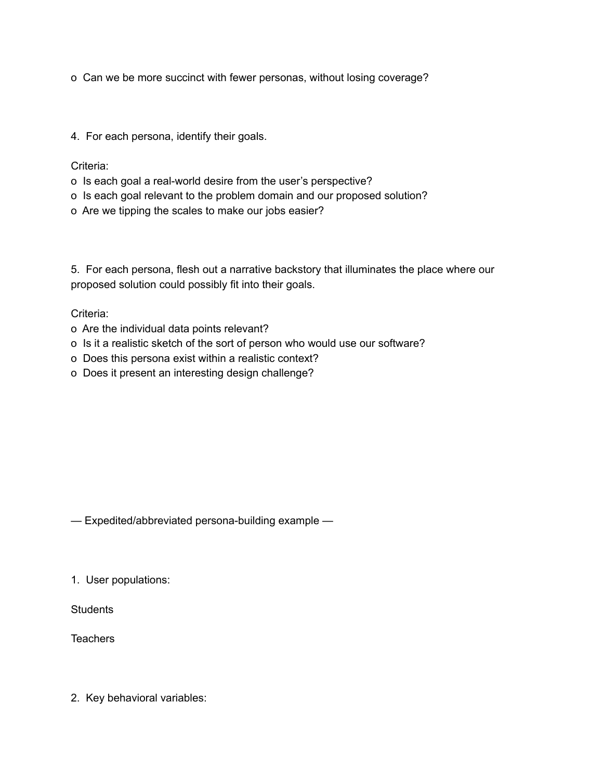o Can we be more succinct with fewer personas, without losing coverage?

4. For each persona, identify their goals.

Criteria:

- o Is each goal a real-world desire from the user's perspective?
- o Is each goal relevant to the problem domain and our proposed solution?
- o Are we tipping the scales to make our jobs easier?

5. For each persona, flesh out a narrative backstory that illuminates the place where our proposed solution could possibly fit into their goals.

Criteria:

- o Are the individual data points relevant?
- o Is it a realistic sketch of the sort of person who would use our software?
- o Does this persona exist within a realistic context?
- o Does it present an interesting design challenge?

— Expedited/abbreviated persona-building example —

1. User populations:

**Students** 

**Teachers** 

2. Key behavioral variables: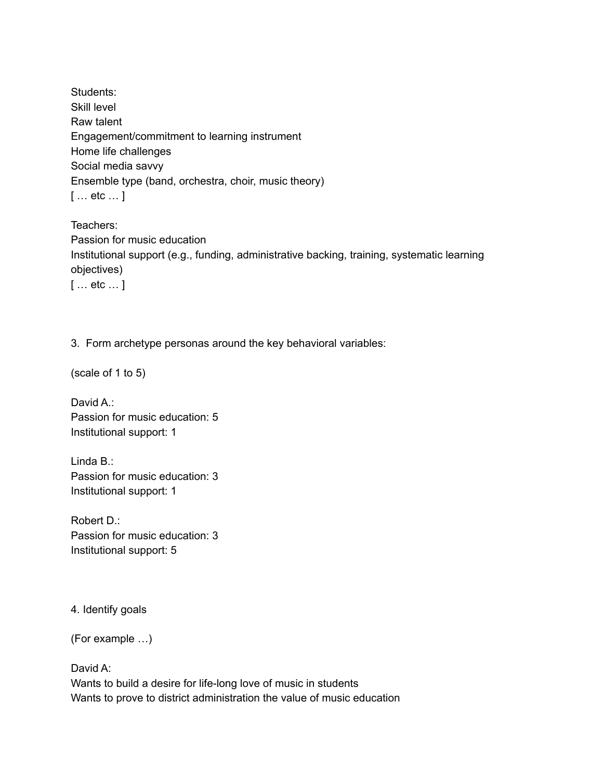Students: Skill level Raw talent Engagement/commitment to learning instrument Home life challenges Social media savvy Ensemble type (band, orchestra, choir, music theory) [ … etc … ]

Teachers: Passion for music education Institutional support (e.g., funding, administrative backing, training, systematic learning objectives) [ … etc … ]

3. Form archetype personas around the key behavioral variables:

(scale of 1 to 5)

David A.: Passion for music education: 5 Institutional support: 1

Linda B.: Passion for music education: 3 Institutional support: 1

Robert D.: Passion for music education: 3 Institutional support: 5

4. Identify goals

(For example …)

David A: Wants to build a desire for life-long love of music in students Wants to prove to district administration the value of music education